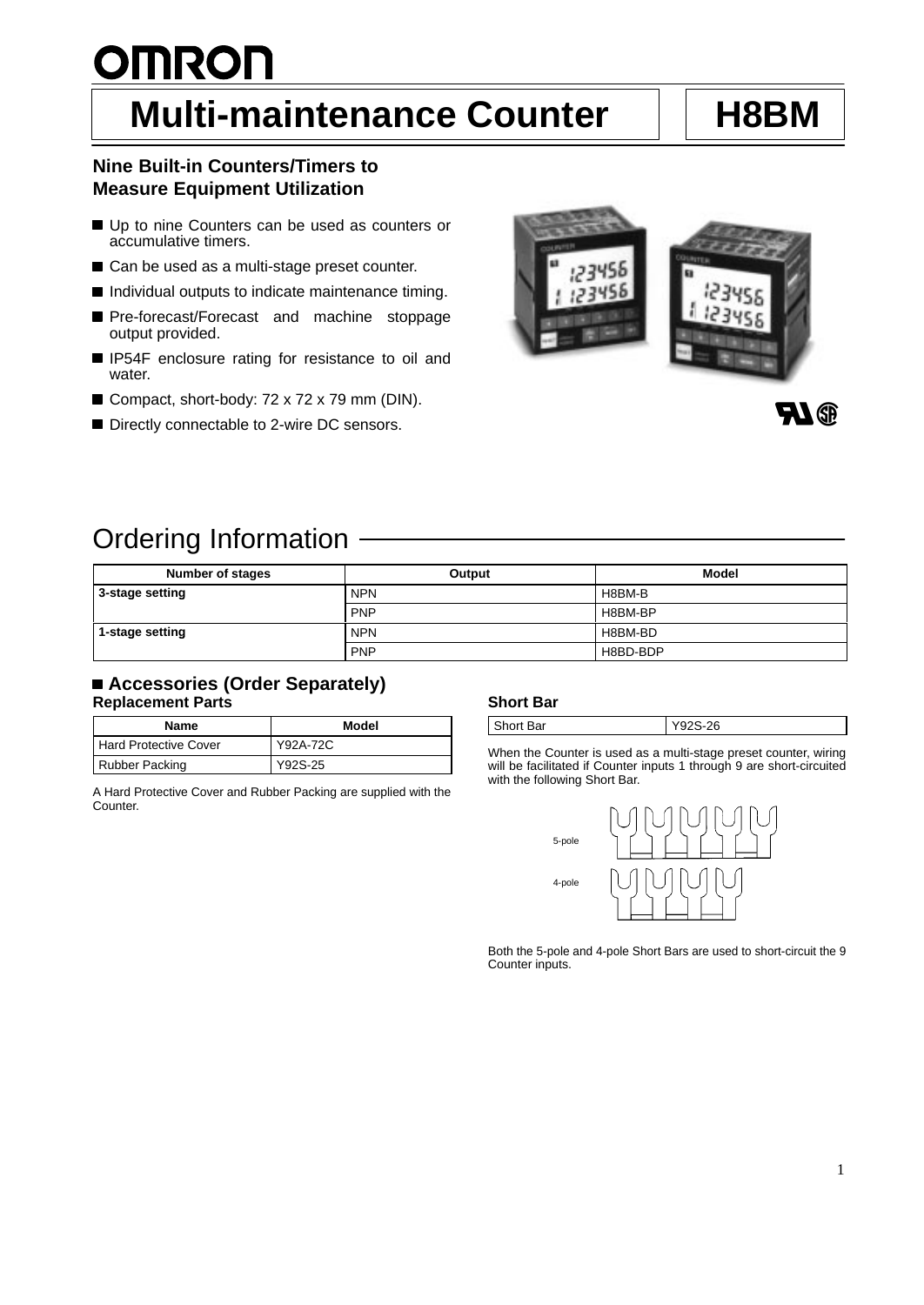# **OMRON Multi-maintenance Counter | | H8BM**

#### **Nine Built-in Counters/Timers to Measure Equipment Utilization**

- Up to nine Counters can be used as counters or accumulative timers.
- Can be used as a multi-stage preset counter.
- Individual outputs to indicate maintenance timing.
- Pre-forecast/Forecast and machine stoppage output provided.
- IP54F enclosure rating for resistance to oil and water.
- Compact, short-body: 72 x 72 x 79 mm (DIN).
- $\blacksquare$  Compact, short-body. T2 A T2 A T9 film (Diry).<br> $\blacksquare$  Directly connectable to 2-wire DC sensors.





## Ordering Information

| Number of stages | Output               | <b>Model</b> |  |
|------------------|----------------------|--------------|--|
| 3-stage setting  | <b>NPN</b><br>H8BM-B |              |  |
|                  | <b>PNP</b>           | H8BM-BP      |  |
| 1-stage setting  | <b>NPN</b>           | H8BM-BD      |  |
|                  | <b>PNP</b>           | H8BD-BDP     |  |

#### ■ Accessories (Order Separately) **Replacement Parts**

| <b>Name</b>                  | Model    |
|------------------------------|----------|
| <b>Hard Protective Cover</b> | Y92A-72C |
| <b>Rubber Packing</b>        | Y92S-25  |

A Hard Protective Cover and Rubber Packing are supplied with the Counter.

#### **Short Bar**

| l s<br>Bar<br>חמת | 0.28<br>∠ບ |
|-------------------|------------|

When the Counter is used as a multi-stage preset counter, wiring will be facilitated if Counter inputs 1 through 9 are short-circuited with the following Short Bar.



Both the 5-pole and 4-pole Short Bars are used to short-circuit the 9 Counter inputs.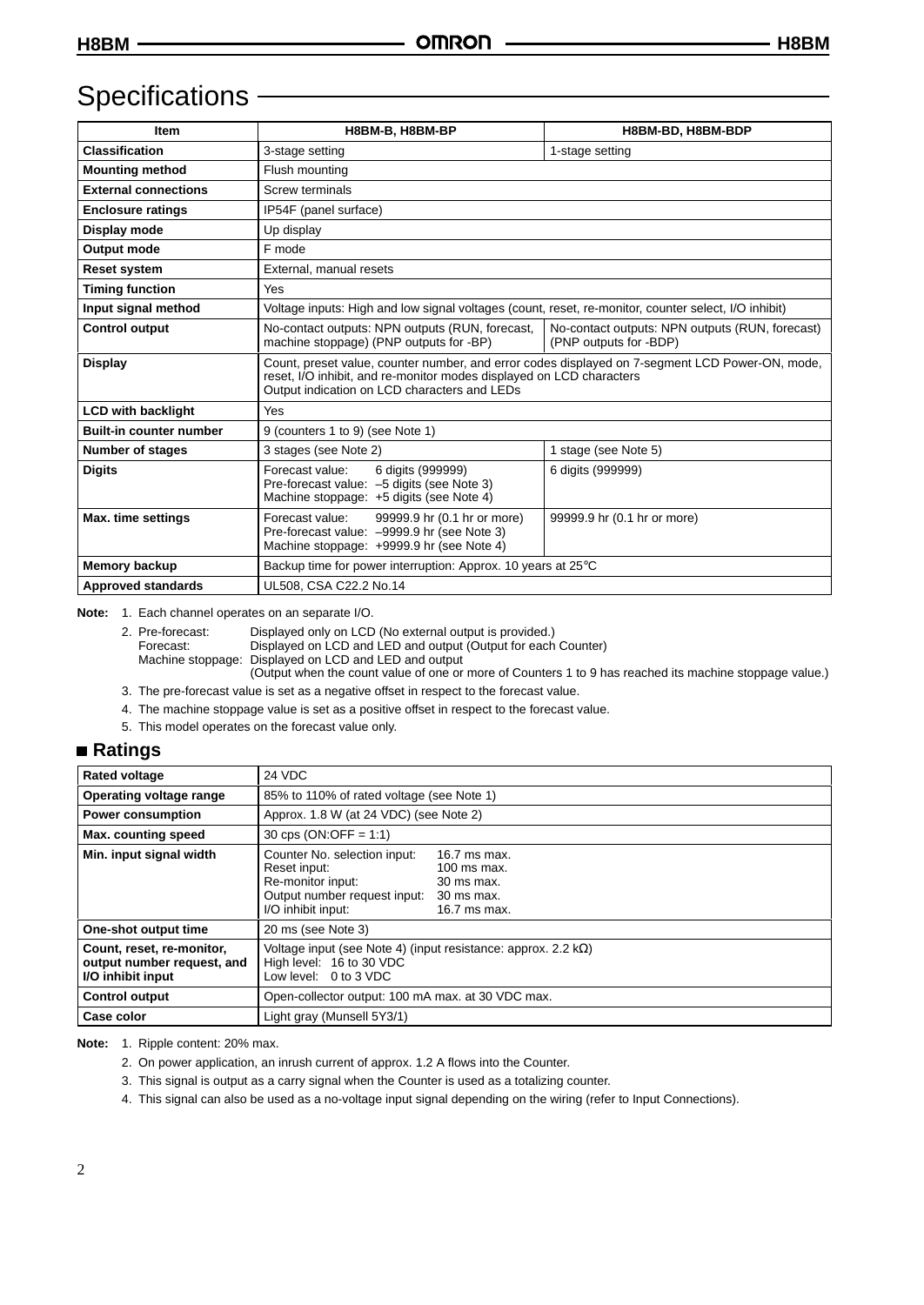## Specifications -

| Item                           | H8BM-B, H8BM-BP                                                                                                                                                                                                         | H8BM-BD, H8BM-BDP           |  |  |  |  |
|--------------------------------|-------------------------------------------------------------------------------------------------------------------------------------------------------------------------------------------------------------------------|-----------------------------|--|--|--|--|
| <b>Classification</b>          | 3-stage setting                                                                                                                                                                                                         | 1-stage setting             |  |  |  |  |
| <b>Mounting method</b>         | Flush mounting                                                                                                                                                                                                          |                             |  |  |  |  |
| <b>External connections</b>    | <b>Screw terminals</b>                                                                                                                                                                                                  |                             |  |  |  |  |
| <b>Enclosure ratings</b>       | IP54F (panel surface)                                                                                                                                                                                                   |                             |  |  |  |  |
| Display mode                   | Up display                                                                                                                                                                                                              |                             |  |  |  |  |
| Output mode                    | F mode                                                                                                                                                                                                                  |                             |  |  |  |  |
| <b>Reset system</b>            | External, manual resets                                                                                                                                                                                                 |                             |  |  |  |  |
| <b>Timing function</b>         | <b>Yes</b>                                                                                                                                                                                                              |                             |  |  |  |  |
| Input signal method            | Voltage inputs: High and low signal voltages (count, reset, re-monitor, counter select, I/O inhibit)                                                                                                                    |                             |  |  |  |  |
| <b>Control output</b>          | No-contact outputs: NPN outputs (RUN, forecast,<br>No-contact outputs: NPN outputs (RUN, forecast)<br>(PNP outputs for -BDP)<br>machine stoppage) (PNP outputs for -BP)                                                 |                             |  |  |  |  |
| <b>Display</b>                 | Count, preset value, counter number, and error codes displayed on 7-segment LCD Power-ON, mode,<br>reset, I/O inhibit, and re-monitor modes displayed on LCD characters<br>Output indication on LCD characters and LEDs |                             |  |  |  |  |
| <b>LCD with backlight</b>      | <b>Yes</b>                                                                                                                                                                                                              |                             |  |  |  |  |
| <b>Built-in counter number</b> | 9 (counters 1 to 9) (see Note 1)                                                                                                                                                                                        |                             |  |  |  |  |
| <b>Number of stages</b>        | 3 stages (see Note 2)                                                                                                                                                                                                   | 1 stage (see Note 5)        |  |  |  |  |
| <b>Digits</b>                  | Forecast value:<br>6 digits (999999)<br>Pre-forecast value: -5 digits (see Note 3)<br>Machine stoppage: +5 digits (see Note 4)                                                                                          | 6 digits (999999)           |  |  |  |  |
| Max. time settings             | Forecast value:<br>99999.9 hr (0.1 hr or more)<br>Pre-forecast value: -9999.9 hr (see Note 3)<br>Machine stoppage: +9999.9 hr (see Note 4)                                                                              | 99999.9 hr (0.1 hr or more) |  |  |  |  |
| <b>Memory backup</b>           | Backup time for power interruption: Approx. 10 years at 25°C                                                                                                                                                            |                             |  |  |  |  |
| <b>Approved standards</b>      | UL508, CSA C22.2 No.14                                                                                                                                                                                                  |                             |  |  |  |  |

**Note:** 1. Each channel operates on an separate I/O.

| 2. Pre-forecast: | Displayed only on LCD (No external output is provided.)                                                 |
|------------------|---------------------------------------------------------------------------------------------------------|
| Forecast:        | Displayed on LCD and LED and output (Output for each Counter)                                           |
|                  | Machine stoppage: Displayed on LCD and LED and output                                                   |
|                  | (Output when the count value of one or more of Counters 1 to 9 has reached its machine stoppage value.) |

- 3. The pre-forecast value is set as a negative offset in respect to the forecast value.
- 4. The machine stoppage value is set as a positive offset in respect to the forecast value.
- 5. This model operates on the forecast value only.

#### **Ratings**

| <b>Rated voltage</b>                                                         | 24 VDC                                                                                                                                                                                               |  |  |
|------------------------------------------------------------------------------|------------------------------------------------------------------------------------------------------------------------------------------------------------------------------------------------------|--|--|
| Operating voltage range                                                      | 85% to 110% of rated voltage (see Note 1)                                                                                                                                                            |  |  |
| <b>Power consumption</b>                                                     | Approx. 1.8 W (at 24 VDC) (see Note 2)                                                                                                                                                               |  |  |
| Max. counting speed                                                          | 30 cps (ON:OFF = $1:1$ )                                                                                                                                                                             |  |  |
| Min. input signal width                                                      | Counter No. selection input:<br>16.7 ms max.<br>Reset input:<br>$100$ ms max.<br>Re-monitor input:<br>30 ms max.<br>Output number request input:<br>30 ms max.<br>I/O inhibit input:<br>16.7 ms max. |  |  |
| One-shot output time                                                         | 20 ms (see Note 3)                                                                                                                                                                                   |  |  |
| Count, reset, re-monitor,<br>output number request, and<br>I/O inhibit input | Voltage input (see Note 4) (input resistance: approx. 2.2 $k\Omega$ )<br>High level: 16 to 30 VDC<br>Low level: 0 to 3 VDC                                                                           |  |  |
| <b>Control output</b>                                                        | Open-collector output: 100 mA max. at 30 VDC max.                                                                                                                                                    |  |  |
| Case color                                                                   | Light gray (Munsell 5Y3/1)                                                                                                                                                                           |  |  |

**Note:** 1. Ripple content: 20% max.

- 2. On power application, an inrush current of approx. 1.2 A flows into the Counter.
- 3. This signal is output as a carry signal when the Counter is used as a totalizing counter.
- 4. This signal can also be used as a no-voltage input signal depending on the wiring (refer to Input Connections).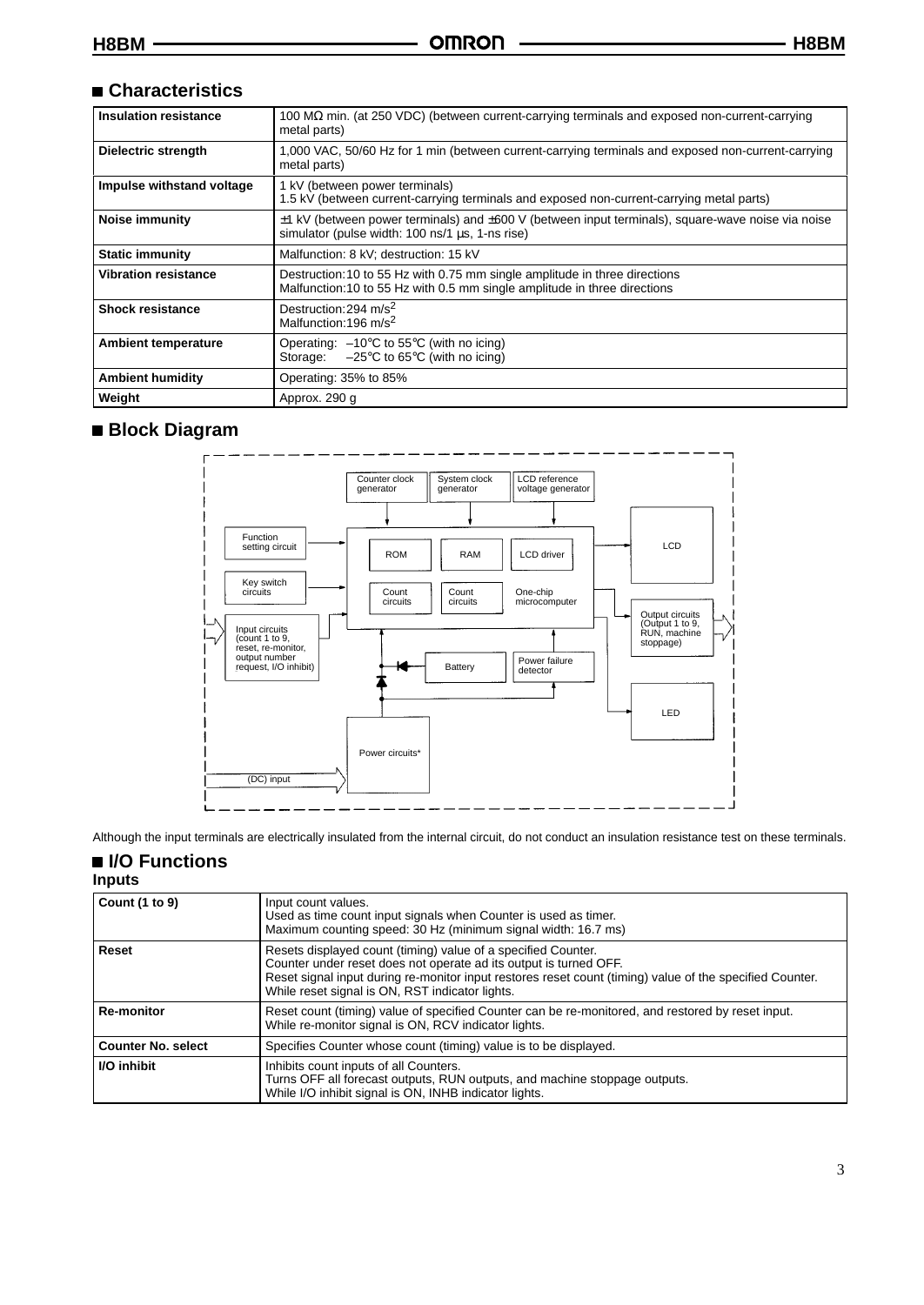#### **Characteristics**

| <b>Insulation resistance</b> | 100 M $\Omega$ min. (at 250 VDC) (between current-carrying terminals and exposed non-current-carrying<br>metal parts)                                          |
|------------------------------|----------------------------------------------------------------------------------------------------------------------------------------------------------------|
| Dielectric strength          | 1,000 VAC, 50/60 Hz for 1 min (between current-carrying terminals and exposed non-current-carrying<br>metal parts)                                             |
| Impulse withstand voltage    | 1 kV (between power terminals)<br>1.5 kV (between current-carrying terminals and exposed non-current-carrying metal parts)                                     |
| Noise immunity               | $\pm$ 1 kV (between power terminals) and $\pm$ 600 V (between input terminals), square-wave noise via noise<br>simulator (pulse width: 100 ns/1 us, 1-ns rise) |
| <b>Static immunity</b>       | Malfunction: 8 kV; destruction: 15 kV                                                                                                                          |
| <b>Vibration resistance</b>  | Destruction: 10 to 55 Hz with 0.75 mm single amplitude in three directions<br>Malfunction: 10 to 55 Hz with 0.5 mm single amplitude in three directions        |
| <b>Shock resistance</b>      | Destruction: 294 m/s <sup>2</sup><br>Malfunction: 196 m/s <sup>2</sup>                                                                                         |
| <b>Ambient temperature</b>   | Operating: $-10^{\circ}$ C to 55 $^{\circ}$ C (with no icing)<br>$-25^{\circ}$ C to 65 $^{\circ}$ C (with no icing)<br>Storage:                                |
| <b>Ambient humidity</b>      | Operating: 35% to 85%                                                                                                                                          |
| Weight                       | Approx. 290 g                                                                                                                                                  |

### **Block Diagram**



Although the input terminals are electrically insulated from the internal circuit, do not conduct an insulation resistance test on these terminals.

#### ■ I/O Functions **Inputs**

| <b>Count (1 to 9)</b>                                                                                                                                                          | Input count values.<br>Used as time count input signals when Counter is used as timer.<br>Maximum counting speed: 30 Hz (minimum signal width: 16.7 ms)                                                                                                                                           |  |  |  |
|--------------------------------------------------------------------------------------------------------------------------------------------------------------------------------|---------------------------------------------------------------------------------------------------------------------------------------------------------------------------------------------------------------------------------------------------------------------------------------------------|--|--|--|
| Reset                                                                                                                                                                          | Resets displayed count (timing) value of a specified Counter.<br>Counter under reset does not operate ad its output is turned OFF.<br>Reset signal input during re-monitor input restores reset count (timing) value of the specified Counter.<br>While reset signal is ON, RST indicator lights. |  |  |  |
| Reset count (timing) value of specified Counter can be re-monitored, and restored by reset input.<br><b>Re-monitor</b><br>While re-monitor signal is ON, RCV indicator lights. |                                                                                                                                                                                                                                                                                                   |  |  |  |
| <b>Counter No. select</b>                                                                                                                                                      | Specifies Counter whose count (timing) value is to be displayed.                                                                                                                                                                                                                                  |  |  |  |
| I/O inhibit                                                                                                                                                                    | Inhibits count inputs of all Counters.<br>Turns OFF all forecast outputs, RUN outputs, and machine stoppage outputs.<br>While I/O inhibit signal is ON, INHB indicator lights.                                                                                                                    |  |  |  |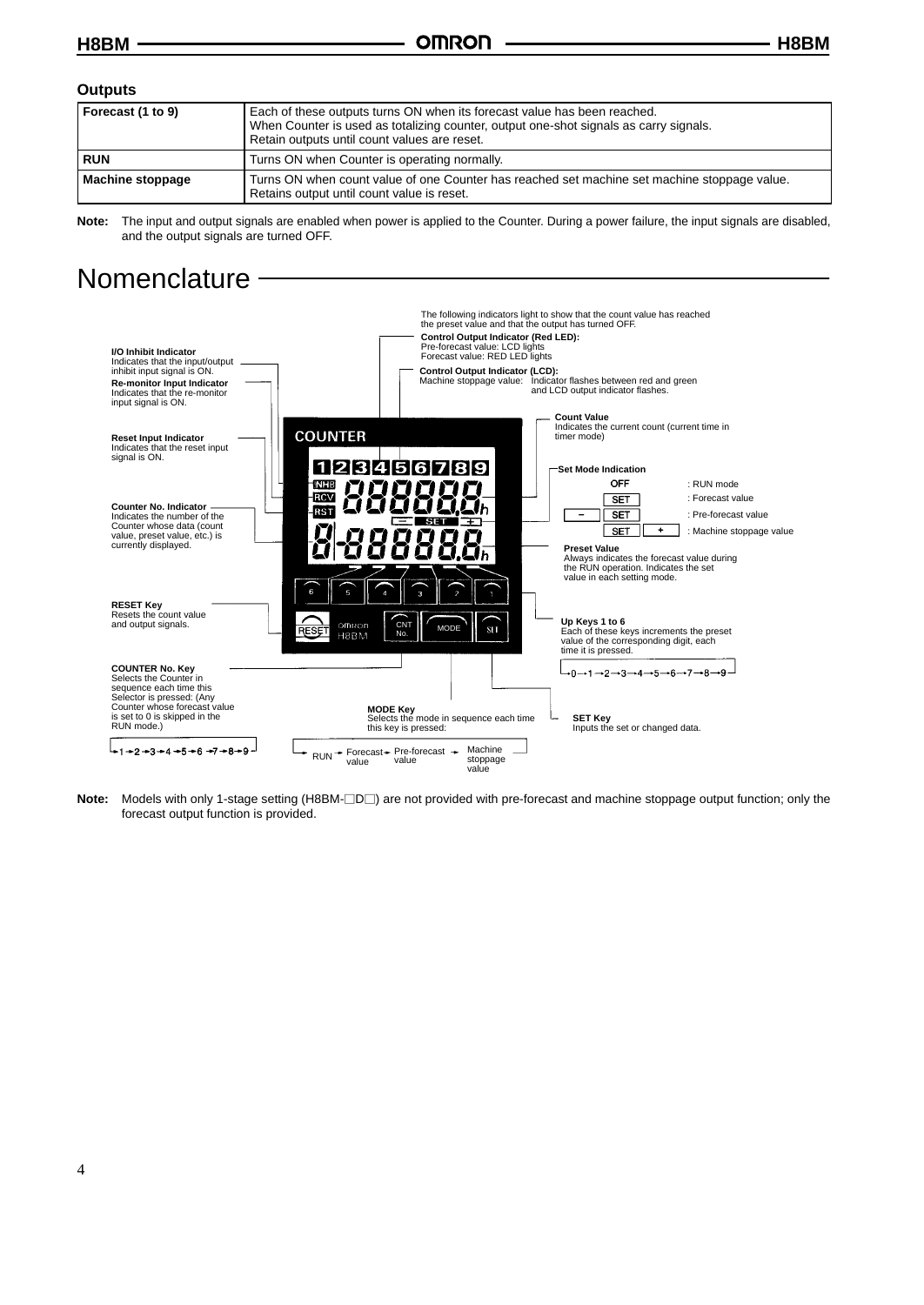#### **Outputs**

| Forecast (1 to 9)<br>Each of these outputs turns ON when its forecast value has been reached.<br>When Counter is used as totalizing counter, output one-shot signals as carry signals.<br>Retain outputs until count values are reset. |                                                                                                                                            |  |
|----------------------------------------------------------------------------------------------------------------------------------------------------------------------------------------------------------------------------------------|--------------------------------------------------------------------------------------------------------------------------------------------|--|
| <b>RUN</b>                                                                                                                                                                                                                             | Turns ON when Counter is operating normally.                                                                                               |  |
| Machine stoppage                                                                                                                                                                                                                       | Turns ON when count value of one Counter has reached set machine set machine stoppage value.<br>Retains output until count value is reset. |  |

**Note:** The input and output signals are enabled when power is applied to the Counter. During a power failure, the input signals are disabled, and the output signals are turned OFF.

### **Nomenclature**



Note: Models with only 1-stage setting (H8BM- $\square$ D $\square$ ) are not provided with pre-forecast and machine stoppage output function; only the forecast output function is provided.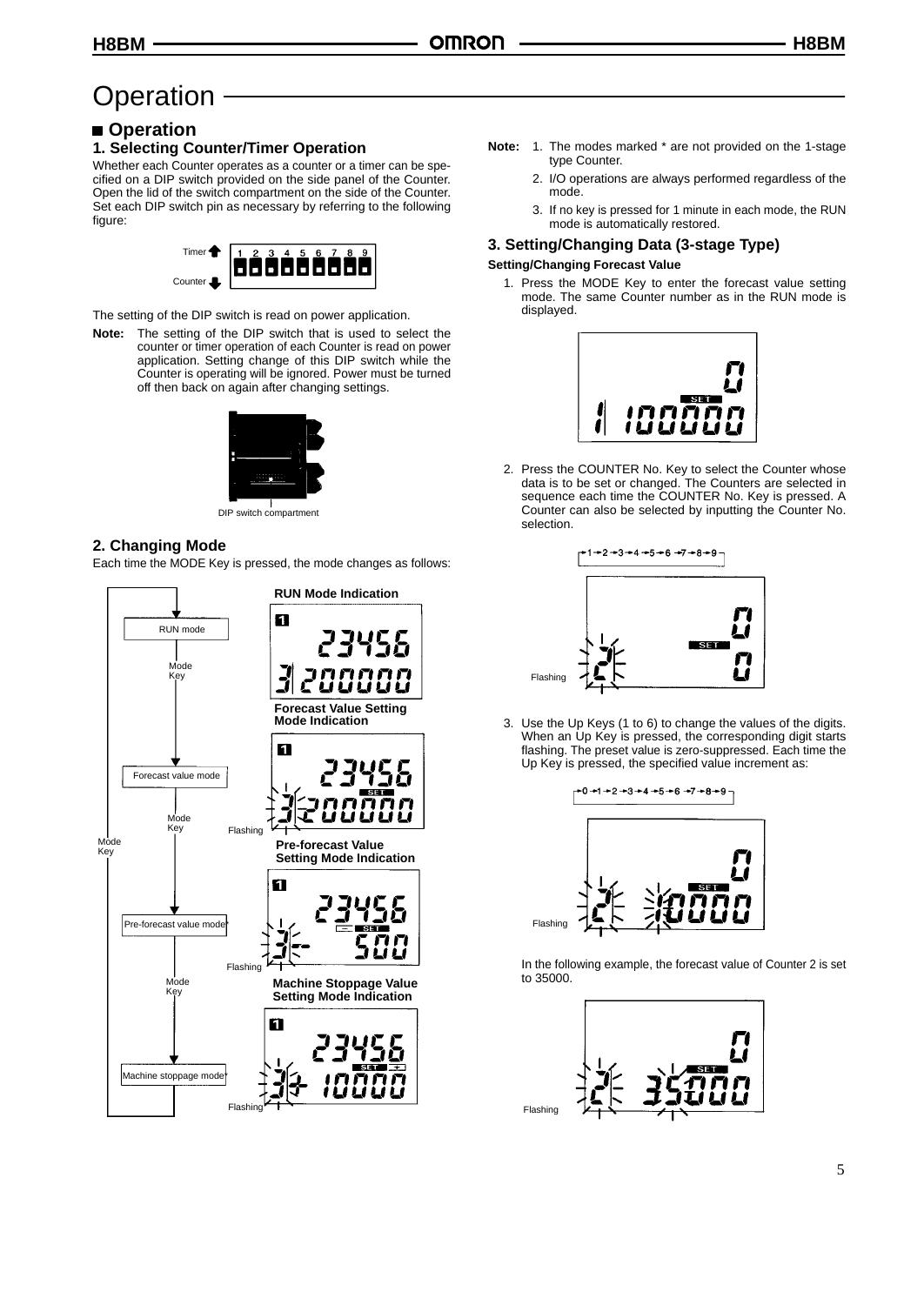### **Operation**

#### **Operation**

#### **1. Selecting Counter/Timer Operation**

Whether each Counter operates as a counter or a timer can be specified on a DIP switch provided on the side panel of the Counter. Open the lid of the switch compartment on the side of the Counter. Set each DIP switch pin as necessary by referring to the following figure:



The setting of the DIP switch is read on power application.

**Note:** The setting of the DIP switch that is used to select the counter or timer operation of each Counter is read on power application. Setting change of this DIP switch while the Counter is operating will be ignored. Power must be turned off then back on again after changing settings.



DIP switch compartment

#### **2. Changing Mode**

Each time the MODE Key is pressed, the mode changes as follows:



- **Note:** 1. The modes marked \* are not provided on the 1-stage type Counter.
	- 2. I/O operations are always performed regardless of the mode.
	- 3. If no key is pressed for 1 minute in each mode, the RUN mode is automatically restored.

#### **3. Setting/Changing Data (3-stage Type)**

#### **Setting/Changing Forecast Value**

1. Press the MODE Key to enter the forecast value setting mode. The same Counter number as in the RUN mode is displayed.



2. Press the COUNTER No. Key to select the Counter whose data is to be set or changed. The Counters are selected in sequence each time the COUNTER No. Key is pressed. A Counter can also be selected by inputting the Counter No. selection.



3. Use the Up Keys (1 to 6) to change the values of the digits. When an Up Key is pressed, the corresponding digit starts flashing. The preset value is zero-suppressed. Each time the Up Key is pressed, the specified value increment as:



In the following example, the forecast value of Counter 2 is set to 35000.

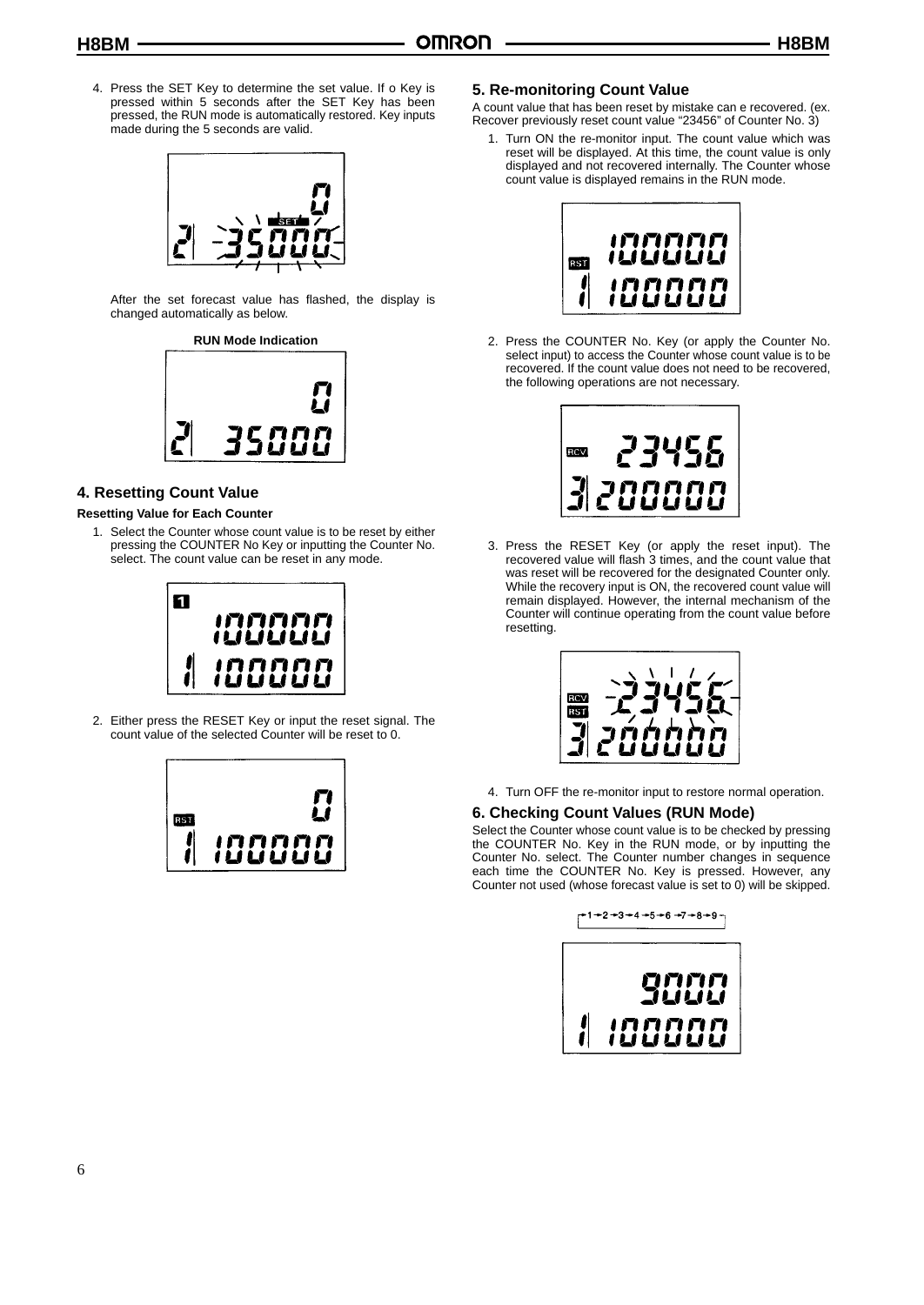4. Press the SET Key to determine the set value. If o Key is pressed within 5 seconds after the SET Key has been pressed, the RUN mode is automatically restored. Key inputs made during the 5 seconds are valid.



After the set forecast value has flashed, the display is changed automatically as below.

#### **RUN Mode Indication**



#### **4. Resetting Count Value**

#### **Resetting Value for Each Counter**

1. Select the Counter whose count value is to be reset by either pressing the COUNTER No Key or inputting the Counter No. select. The count value can be reset in any mode.



2. Either press the RESET Key or input the reset signal. The count value of the selected Counter will be reset to 0.



#### **5. Re-monitoring Count Value**

A count value that has been reset by mistake can e recovered. (ex. Recover previously reset count value "23456" of Counter No. 3)

1. Turn ON the re-monitor input. The count value which was reset will be displayed. At this time, the count value is only displayed and not recovered internally. The Counter whose count value is displayed remains in the RUN mode.



2. Press the COUNTER No. Key (or apply the Counter No. select input) to access the Counter whose count value is to be recovered. If the count value does not need to be recovered, the following operations are not necessary.



3. Press the RESET Key (or apply the reset input). The recovered value will flash 3 times, and the count value that was reset will be recovered for the designated Counter only. While the recovery input is ON, the recovered count value will remain displayed. However, the internal mechanism of the Counter will continue operating from the count value before resetting.



4. Turn OFF the re-monitor input to restore normal operation.

#### **6. Checking Count Values (RUN Mode)**

Select the Counter whose count value is to be checked by pressing the COUNTER No. Key in the RUN mode, or by inputting the Counter No. select. The Counter number changes in sequence each time the COUNTER No. Key is pressed. However, any Counter not used (whose forecast value is set to 0) will be skipped.



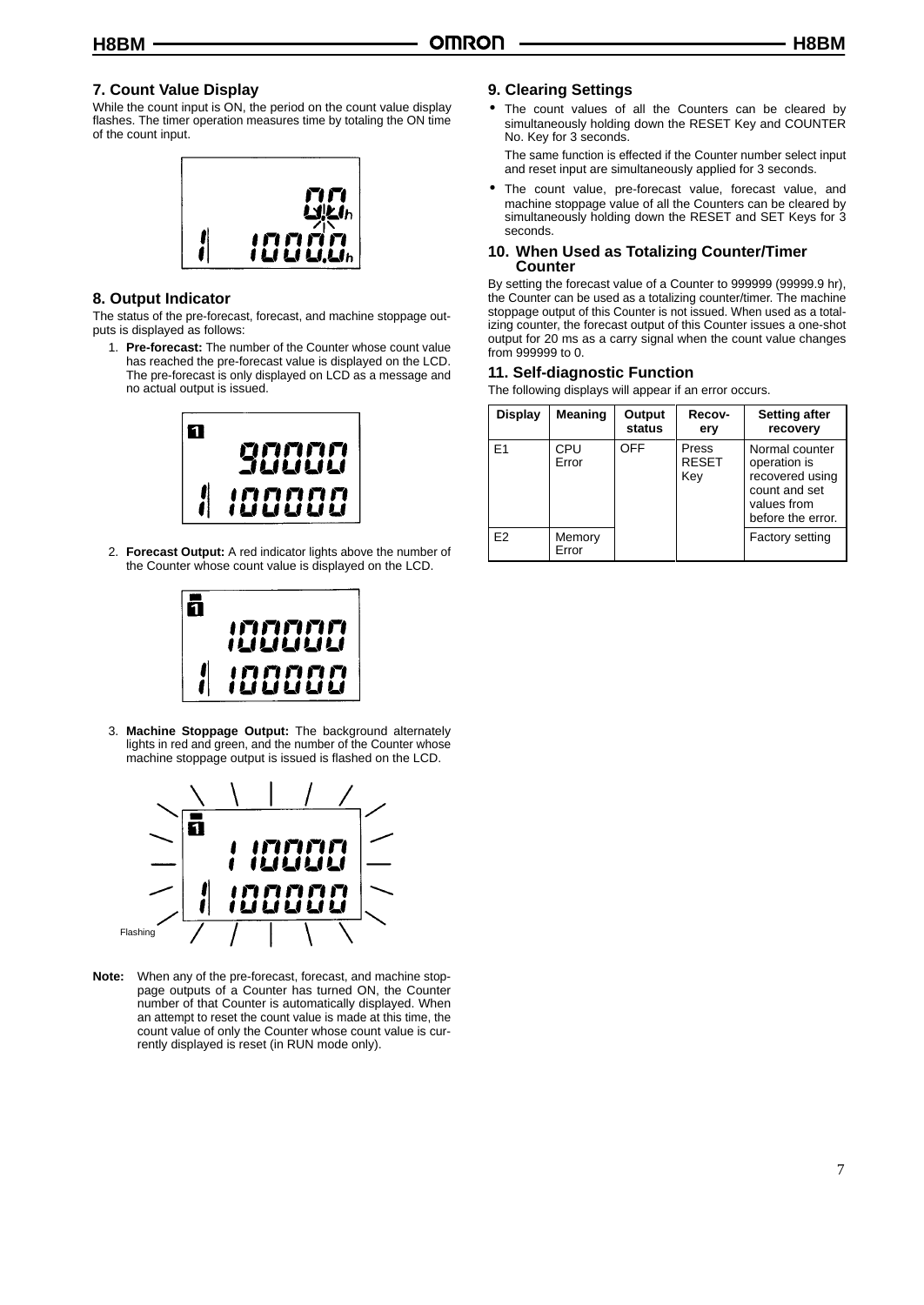#### **7. Count Value Display**

While the count input is ON, the period on the count value display flashes. The timer operation measures time by totaling the ON time of the count input.



#### **8. Output Indicator**

The status of the pre-forecast, forecast, and machine stoppage outputs is displayed as follows:

1. **Pre-forecast:** The number of the Counter whose count value has reached the pre-forecast value is displayed on the LCD. The pre-forecast is only displayed on LCD as a message and no actual output is issued.



2. **Forecast Output:** A red indicator lights above the number of the Counter whose count value is displayed on the LCD.



3. **Machine Stoppage Output:** The background alternately lights in red and green, and the number of the Counter whose machine stoppage output is issued is flashed on the LCD.



**Note:** When any of the pre-forecast, forecast, and machine stoppage outputs of a Counter has turned ON, the Counter number of that Counter is automatically displayed. When an attempt to reset the count value is made at this time, the count value of only the Counter whose count value is currently displayed is reset (in RUN mode only).

#### **9. Clearing Settings**

• The count values of all the Counters can be cleared by simultaneously holding down the RESET Key and COUNTER No. Key for 3 seconds.

The same function is effected if the Counter number select input and reset input are simultaneously applied for 3 seconds.

• The count value, pre-forecast value, forecast value, and machine stoppage value of all the Counters can be cleared by simultaneously holding down the RESET and SET Keys for 3 seconds.

#### **10. When Used as Totalizing Counter/Timer Counter**

By setting the forecast value of a Counter to 999999 (99999.9 hr), the Counter can be used as a totalizing counter/timer. The machine stoppage output of this Counter is not issued. When used as a totalizing counter, the forecast output of this Counter issues a one-shot output for 20 ms as a carry signal when the count value changes from 999999 to 0.

#### **11. Self-diagnostic Function**

The following displays will appear if an error occurs.

| <b>Display</b> | <b>Meaning</b>  | Output<br>status | Recov-<br>ery                | <b>Setting after</b><br>recovery                                                                       |
|----------------|-----------------|------------------|------------------------------|--------------------------------------------------------------------------------------------------------|
| F <sub>1</sub> | CPU<br>Error    | OFF              | Press<br><b>RESET</b><br>Key | Normal counter<br>operation is<br>recovered using<br>count and set<br>values from<br>before the error. |
| E <sub>2</sub> | Memory<br>Error |                  |                              | <b>Factory setting</b>                                                                                 |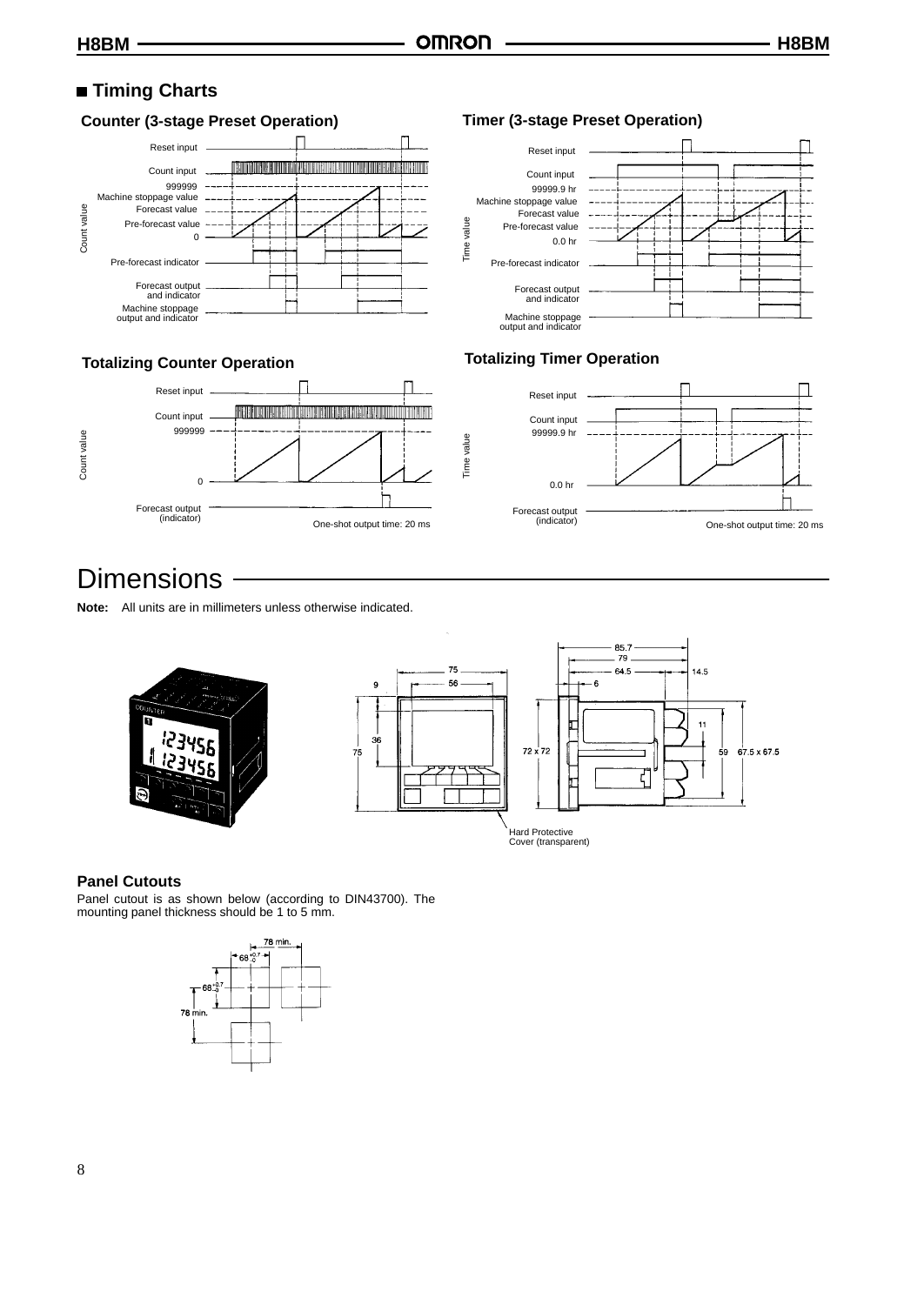### **Timing Charts**

#### **Counter (3-stage Preset Operation)**



#### **Totalizing Counter Operation**



#### **Timer (3-stage Preset Operation)**



#### **Totalizing Timer Operation**



### **Dimensions**

**Note:** All units are in millimeters unless otherwise indicated.



Time value

Time value

#### **Panel Cutouts**

Panel cutout is as shown below (according to DIN43700). The mounting panel thickness should be 1 to 5 mm.

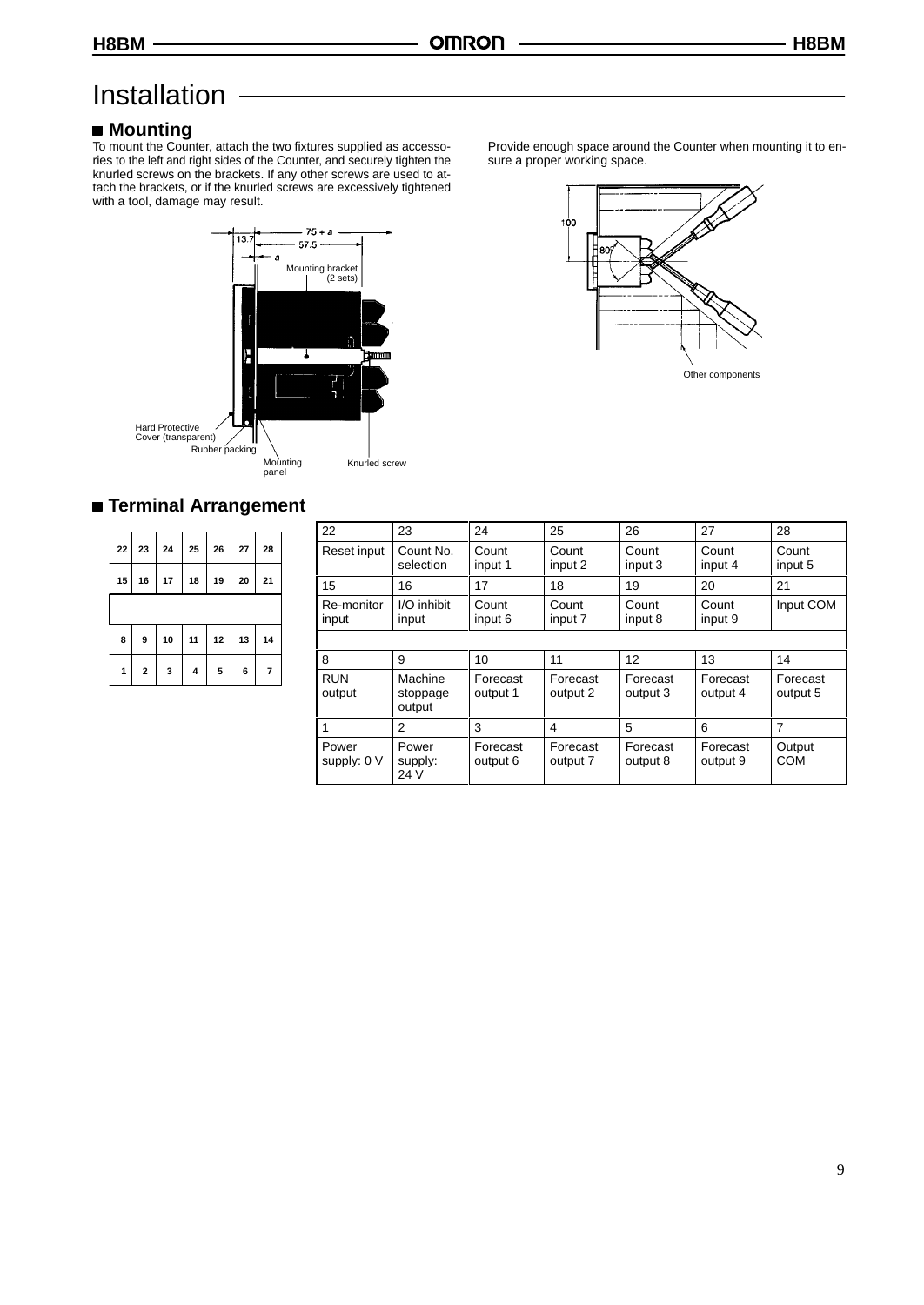## Installation

#### **Mounting**

To mount the Counter, attach the two fixtures supplied as accessories to the left and right sides of the Counter, and securely tighten the knurled screws on the brackets. If any other screws are used to attach the brackets, or if the knurled screws are excessively tightened with a tool, damage may result.



Provide enough space around the Counter when mounting it to ensure a proper working space.



### **Terminal Arrangement**

| 22 | 23          | 24 | 25 | 26 | 27 | 28             |
|----|-------------|----|----|----|----|----------------|
| 15 | 16          | 17 | 18 | 19 | 20 | 21             |
|    |             |    |    |    |    |                |
| 8  | 9           | 10 | 11 | 12 | 13 | 14             |
| 1  | $\mathbf 2$ | 3  | 4  | 5  | 6  | $\overline{7}$ |

| 22                   | 23                            | 24                   | 25                   | 26                   | 27                   | 28                   |
|----------------------|-------------------------------|----------------------|----------------------|----------------------|----------------------|----------------------|
| Reset input          | Count No.<br>selection        | Count<br>input 1     | Count<br>input 2     | Count<br>input 3     | Count<br>input 4     | Count<br>input 5     |
| 15                   | 16                            | 17                   | 18                   | 19                   | 20                   | 21                   |
| Re-monitor<br>input  | I/O inhibit<br>input          | Count<br>input 6     | Count<br>input 7     | Count<br>input 8     | Count<br>input 9     | Input COM            |
|                      |                               |                      |                      |                      |                      |                      |
| 8                    | 9                             | 10                   | 11                   | 12                   | 13                   | 14                   |
| <b>RUN</b><br>output | Machine<br>stoppage<br>output | Forecast<br>output 1 | Forecast<br>output 2 | Forecast<br>output 3 | Forecast<br>output 4 | Forecast<br>output 5 |
| ' 1                  | 2                             | 3                    | 4                    | 5                    | 6                    |                      |
| Power<br>supply: 0 V | Power<br>supply:<br>24 V      | Forecast<br>output 6 | Forecast<br>output 7 | Forecast<br>output 8 | Forecast<br>output 9 | Output<br><b>COM</b> |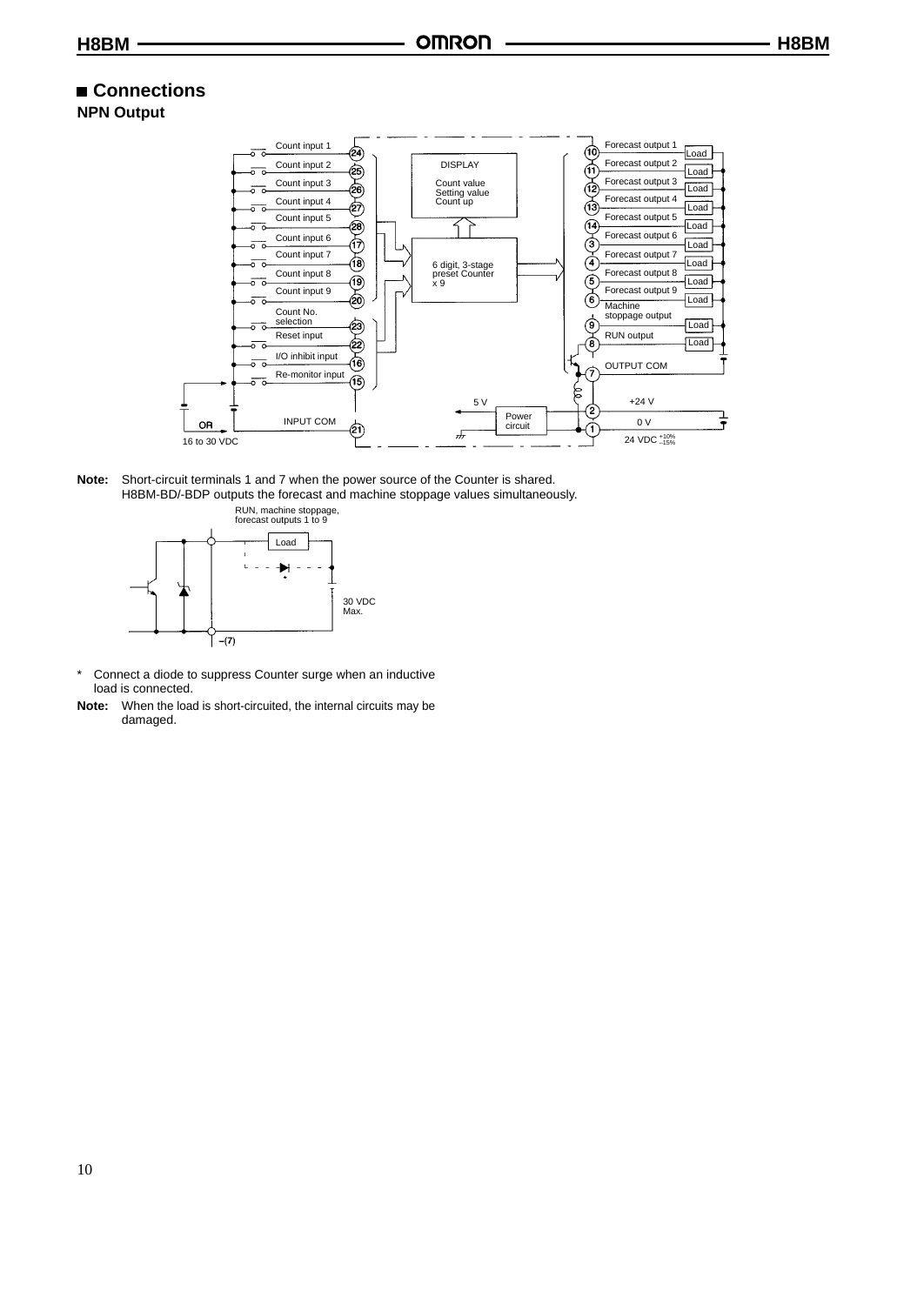#### **Connections**

**NPN Output**



**Note:** Short-circuit terminals 1 and 7 when the power source of the Counter is shared. H8BM-BD/-BDP outputs the forecast and machine stoppage values simultaneously.



- \* Connect a diode to suppress Counter surge when an inductive load is connected.
- **Note:** When the load is short-circuited, the internal circuits may be damaged.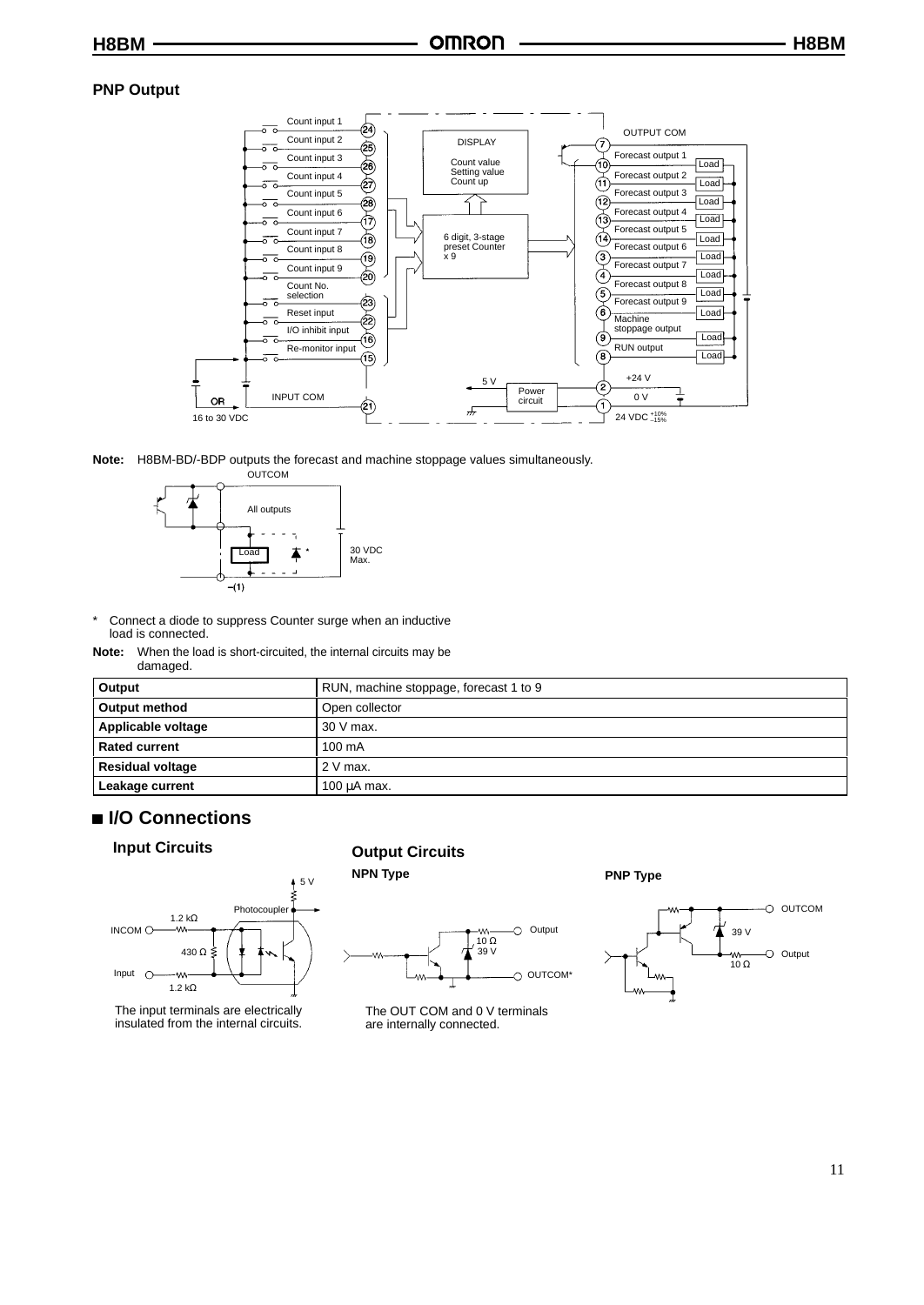#### **PNP Output**







- \* Connect a diode to suppress Counter surge when an inductive load is connected.
- **Note:** When the load is short-circuited, the internal circuits may be damaged.

| Output                  | RUN, machine stoppage, forecast 1 to 9 |
|-------------------------|----------------------------------------|
| Output method           | Open collector                         |
| Applicable voltage      | 30 V max.                              |
| <b>Rated current</b>    | $100 \text{ mA}$                       |
| <b>Residual voltage</b> | 2 V max.                               |
| Leakage current         | $100 \mu A$ max.                       |

### ■ I/O Connections

#### **Input Circuits Output Circuits**





The input terminals are electrically insulated from the internal circuits.



The OUT COM and 0 V terminals are internally connected.

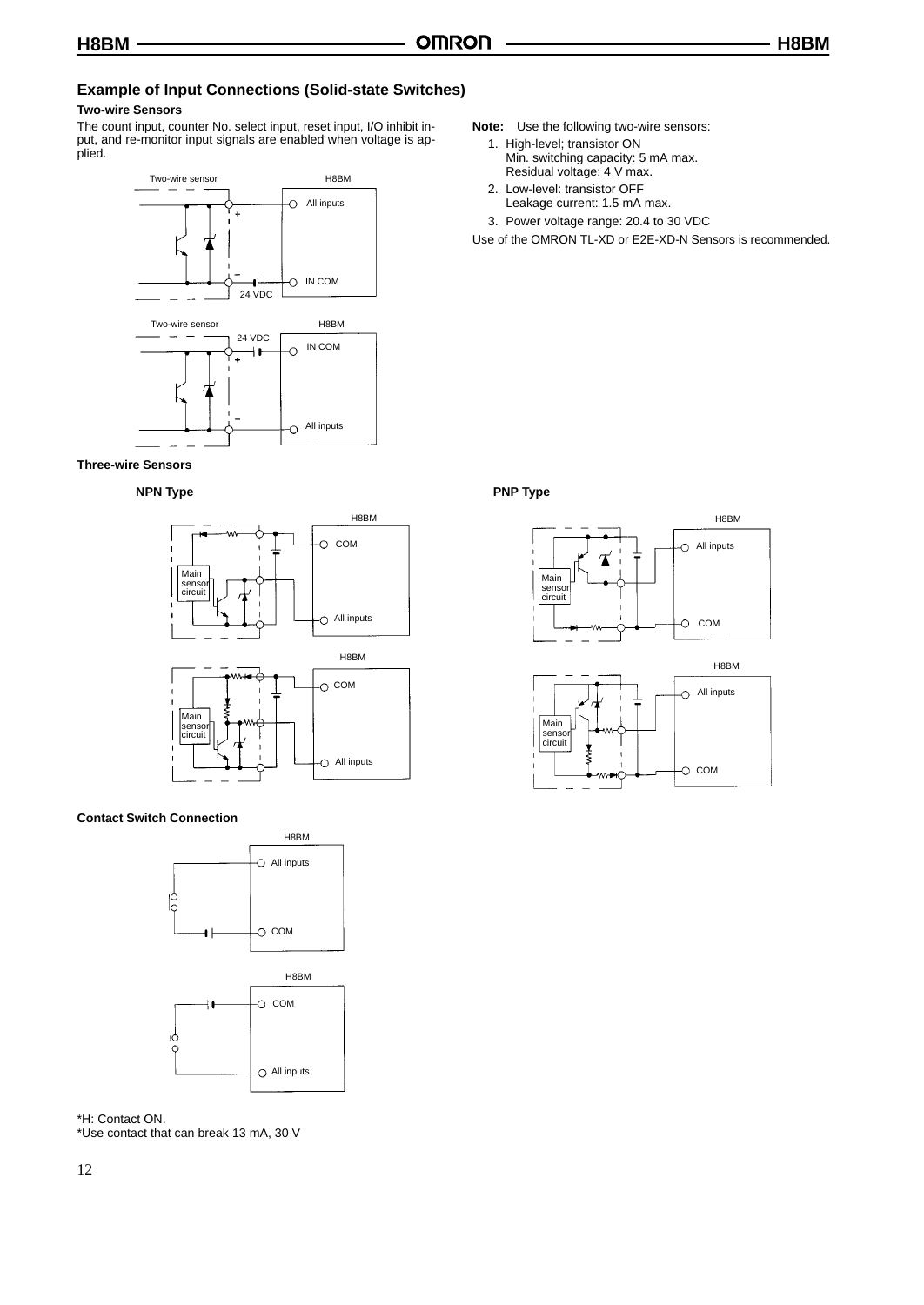#### **Example of Input Connections (Solid-state Switches)**

#### **Two-wire Sensors**

The count input, counter No. select input, reset input, I/O inhibit input, and re-monitor input signals are enabled when voltage is applied.



#### **Three-wire Sensors**

#### **NPN Type PNP Type**



O All inputs

#### **Contact Switch Connection**



\*H: Contact ON.

\*Use contact that can break 13 mA, 30 V

#### **Note:** Use the following two-wire sensors:

- 1. High-level; transistor ON Min. switching capacity: 5 mA max. Residual voltage: 4 V max.
- 2. Low-level: transistor OFF Leakage current: 1.5 mA max.
- 3. Power voltage range: 20.4 to 30 VDC

Use of the OMRON TL-XD or E2E-XD-N Sensors is recommended.



H8BM